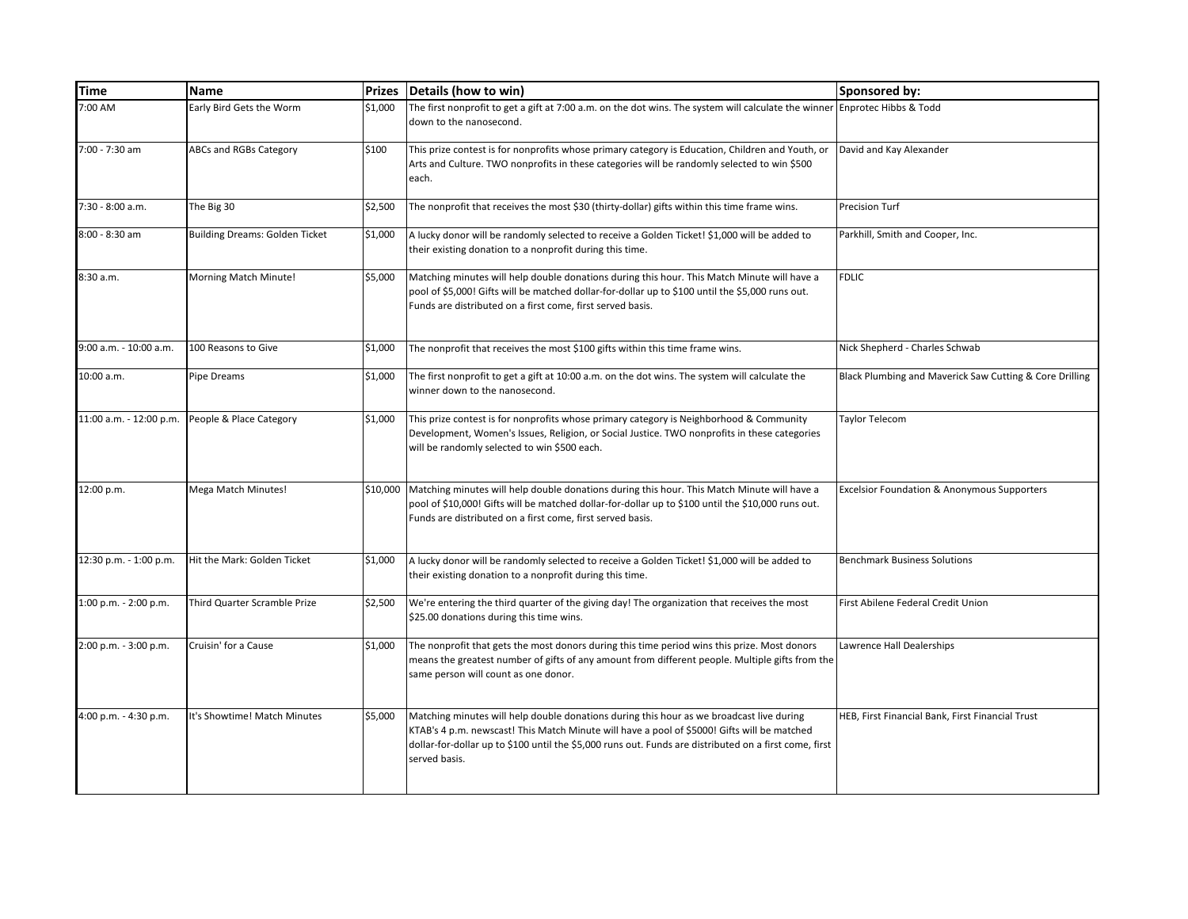| <b>Time</b>             | <b>Name</b>                           | <b>Prizes</b> | Details (how to win)                                                                                                                                                                                                                                                                                               | Sponsored by:                                           |
|-------------------------|---------------------------------------|---------------|--------------------------------------------------------------------------------------------------------------------------------------------------------------------------------------------------------------------------------------------------------------------------------------------------------------------|---------------------------------------------------------|
| 7:00 AM                 | Early Bird Gets the Worm              | \$1,000       | The first nonprofit to get a gift at 7:00 a.m. on the dot wins. The system will calculate the winner Enprotec Hibbs & Todd<br>down to the nanosecond.                                                                                                                                                              |                                                         |
| 7:00 - 7:30 am          | ABCs and RGBs Category                | \$100         | This prize contest is for nonprofits whose primary category is Education, Children and Youth, or<br>Arts and Culture. TWO nonprofits in these categories will be randomly selected to win \$500<br>each.                                                                                                           | David and Kay Alexander                                 |
| 7:30 - 8:00 a.m.        | The Big 30                            | \$2,500       | The nonprofit that receives the most \$30 (thirty-dollar) gifts within this time frame wins.                                                                                                                                                                                                                       | Precision Turf                                          |
| 8:00 - 8:30 am          | <b>Building Dreams: Golden Ticket</b> | \$1,000       | A lucky donor will be randomly selected to receive a Golden Ticket! \$1,000 will be added to<br>their existing donation to a nonprofit during this time.                                                                                                                                                           | Parkhill, Smith and Cooper, Inc.                        |
| 8:30 a.m.               | Morning Match Minute!                 | \$5,000       | Matching minutes will help double donations during this hour. This Match Minute will have a<br>pool of \$5,000! Gifts will be matched dollar-for-dollar up to \$100 until the \$5,000 runs out.<br>Funds are distributed on a first come, first served basis.                                                      | <b>FDLIC</b>                                            |
| 9:00 a.m. - 10:00 a.m.  | 100 Reasons to Give                   | \$1,000       | The nonprofit that receives the most \$100 gifts within this time frame wins.                                                                                                                                                                                                                                      | Nick Shepherd - Charles Schwab                          |
| 10:00 a.m.              | Pipe Dreams                           | \$1,000       | The first nonprofit to get a gift at 10:00 a.m. on the dot wins. The system will calculate the<br>winner down to the nanosecond.                                                                                                                                                                                   | Black Plumbing and Maverick Saw Cutting & Core Drilling |
| 11:00 a.m. - 12:00 p.m. | People & Place Category               | \$1,000       | This prize contest is for nonprofits whose primary category is Neighborhood & Community<br>Development, Women's Issues, Religion, or Social Justice. TWO nonprofits in these categories<br>will be randomly selected to win \$500 each.                                                                            | <b>Taylor Telecom</b>                                   |
| 12:00 p.m.              | Mega Match Minutes!                   |               | \$10,000 Matching minutes will help double donations during this hour. This Match Minute will have a<br>pool of \$10,000! Gifts will be matched dollar-for-dollar up to \$100 until the \$10,000 runs out.<br>Funds are distributed on a first come, first served basis.                                           | <b>Excelsior Foundation &amp; Anonymous Supporters</b>  |
| 12:30 p.m. - 1:00 p.m.  | Hit the Mark: Golden Ticket           | \$1,000       | A lucky donor will be randomly selected to receive a Golden Ticket! \$1,000 will be added to<br>their existing donation to a nonprofit during this time.                                                                                                                                                           | <b>Benchmark Business Solutions</b>                     |
| 1:00 p.m. - 2:00 p.m.   | Third Quarter Scramble Prize          | \$2,500       | We're entering the third quarter of the giving day! The organization that receives the most<br>\$25.00 donations during this time wins.                                                                                                                                                                            | First Abilene Federal Credit Union                      |
| 2:00 p.m. - 3:00 p.m.   | Cruisin' for a Cause                  | \$1,000       | The nonprofit that gets the most donors during this time period wins this prize. Most donors<br>means the greatest number of gifts of any amount from different people. Multiple gifts from the<br>same person will count as one donor.                                                                            | Lawrence Hall Dealerships                               |
| 4:00 p.m. - 4:30 p.m.   | It's Showtime! Match Minutes          | \$5,000       | Matching minutes will help double donations during this hour as we broadcast live during<br>KTAB's 4 p.m. newscast! This Match Minute will have a pool of \$5000! Gifts will be matched<br>dollar-for-dollar up to \$100 until the \$5,000 runs out. Funds are distributed on a first come, first<br>served basis. | HEB, First Financial Bank, First Financial Trust        |